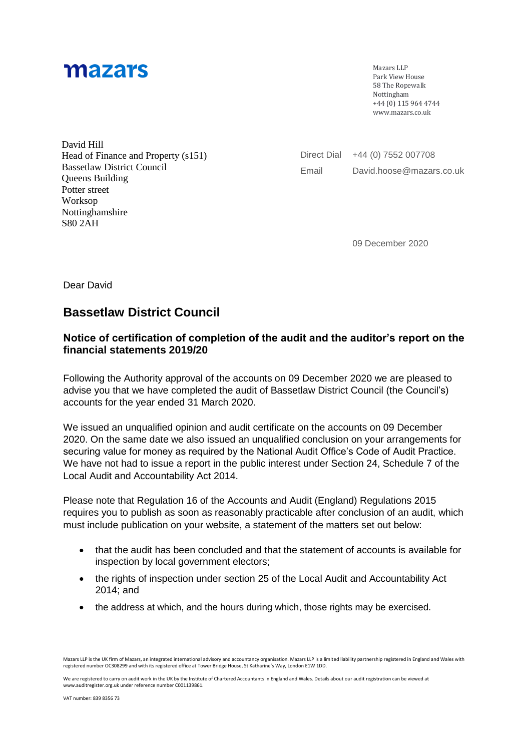## mazars

Mazars LLP Park View House 58 The Ropewalk Nottingham +44 (0) 115 964 4744 [www.mazars.co.uk](http://www.mazars.co.ukm/) 

David Hill Head of Finance and Property (s151) Bassetlaw District Council Queens Building Potter street Worksop Nottinghamshire S80 2AH

Direct Dial +44 (0) 7552 007708 Email David.hoose@mazars.co.uk

09 December 2020

Dear David

## **Bassetlaw District Council**

## **Notice of certification of completion of the audit and the auditor's report on the financial statements 2019/20**

Following the Authority approval of the accounts on 09 December 2020 we are pleased to advise you that we have completed the audit of Bassetlaw District Council (the Council's) accounts for the year ended 31 March 2020.

We issued an unqualified opinion and audit certificate on the accounts on 09 December 2020. On the same date we also issued an unqualified conclusion on your arrangements for securing value for money as required by the National Audit Office's Code of Audit Practice. We have not had to issue a report in the public interest under Section 24, Schedule 7 of the Local Audit and Accountability Act 2014.

Please note that Regulation 16 of the Accounts and Audit (England) Regulations 2015 requires you to publish as soon as reasonably practicable after conclusion of an audit, which must include publication on your website, a statement of the matters set out below:

- that the audit has been concluded and that the statement of accounts is available for inspection by local government electors;
- the rights of inspection under section 25 of the Local Audit and Accountability Act 2014; and
- the address at which, and the hours during which, those rights may be exercised.

We are registered to carry on audit work in the UK by the Institute of Chartered Accountants in England and Wales. Details about our audit registration can be viewed at www.auditregister.org.uk under reference number C001139861.

Mazars LLP is the UK firm of Mazars, an integrated international advisory and accountancy organisation. Mazars LLP is a limited liability partnership registered in England and Wales with registered number OC308299 and with its registered office at Tower Bridge House, St Katharine's Way, London E1W 1DD.